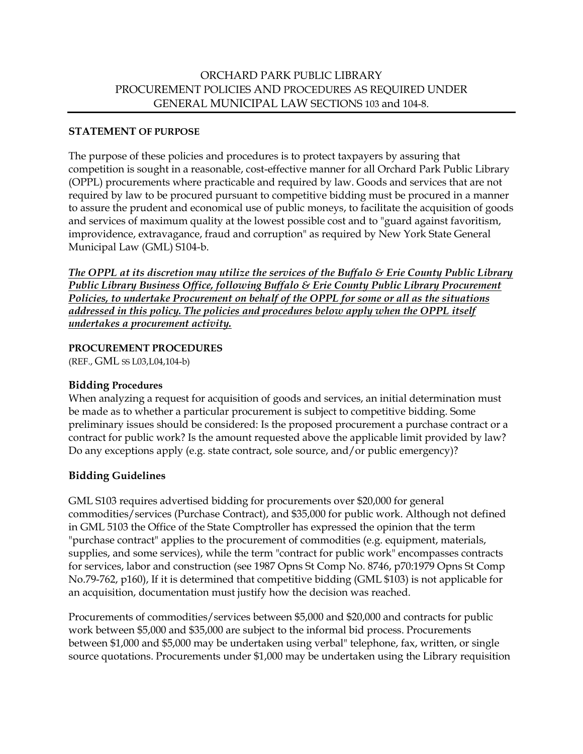### **STATEMENT OF PURPOSE**

The purpose of these policies and procedures is to protect taxpayers by assuring that competition is sought in a reasonable, cost-effective manner for all Orchard Park Public Library (OPPL) procurements where practicable and required by law. Goods and services that are not required by law to be procured pursuant to competitive bidding must be procured in a manner to assure the prudent and economical use of public moneys, to facilitate the acquisition of goods and services of maximum quality at the lowest possible cost and to "guard against favoritism, improvidence, extravagance, fraud and corruption" as required by New York State General Municipal Law (GML) S104-b.

*The OPPL at its discretion may utilize the services of the Buffalo & Erie County Public Library Public Library Business Office, following Buffalo & Erie County Public Library Procurement Policies, to undertake Procurement on behalf of the OPPL for some or all as the situations addressed in this policy. The policies and procedures below apply when the OPPL itself undertakes a procurement activity.*

### **PROCUREMENT PROCEDURES**

(REF., GML SS L03,L04,104-b)

### **Bidding Procedures**

When analyzing a request for acquisition of goods and services, an initial determination must be made as to whether a particular procurement is subject to competitive bidding. Some preliminary issues should be considered: Is the proposed procurement a purchase contract or a contract for public work? Is the amount requested above the applicable limit provided by law? Do any exceptions apply (e.g. state contract, sole source, and/or public emergency)?

### **Bidding Guidelines**

GML S103 requires advertised bidding for procurements over \$20,000 for general commodities/services (Purchase Contract), and \$35,000 for public work. Although not defined in GML 5103 the Office of the State Comptroller has expressed the opinion that the term "purchase contract" applies to the procurement of commodities (e.g. equipment, materials, supplies, and some services), while the term "contract for public work" encompasses contracts for services, labor and construction (see 1987 Opns St Comp No. 8746, p70:1979 Opns St Comp No.79-762, p160), If it is determined that competitive bidding (GML \$103) is not applicable for an acquisition, documentation must justify how the decision was reached.

Procurements of commodities/services between \$5,000 and \$20,000 and contracts for public work between \$5,000 and \$35,000 are subject to the informal bid process. Procurements between \$1,000 and \$5,000 may be undertaken using verbal" telephone, fax, written, or single source quotations. Procurements under \$1,000 may be undertaken using the Library requisition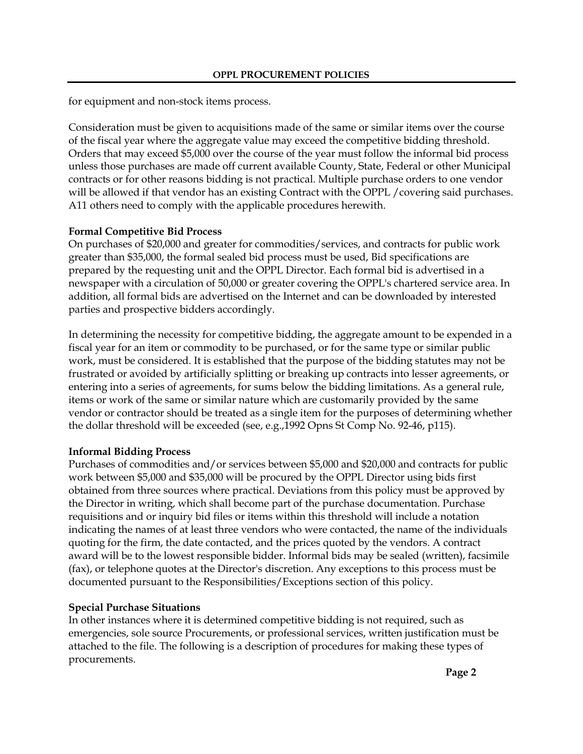for equipment and non-stock items process.

Consideration must be given to acquisitions made of the same or similar items over the course of the fiscal year where the aggregate value may exceed the competitive bidding threshold. Orders that may exceed \$5,000 over the course of the year must follow the informal bid process unless those purchases are made off current available County, State, Federal or other Municipal contracts or for other reasons bidding is not practical. Multiple purchase orders to one vendor will be allowed if that vendor has an existing Contract with the OPPL / covering said purchases. A11 others need to comply with the applicable procedures herewith.

## **Formal Competitive Bid Process**

On purchases of \$20,000 and greater for commodities/services, and contracts for public work greater than \$35,000, the formal sealed bid process must be used, Bid specifications are prepared by the requesting unit and the OPPL Director. Each formal bid is advertised in a newspaper with a circulation of 50,000 or greater covering the OPPL's chartered service area. In addition, all formal bids are advertised on the Internet and can be downloaded by interested parties and prospective bidders accordingly.

In determining the necessity for competitive bidding, the aggregate amount to be expended in a fiscal year for an item or commodity to be purchased, or for the same type or similar public work, must be considered. It is established that the purpose of the bidding statutes may not be frustrated or avoided by artificially splitting or breaking up contracts into lesser agreements, or entering into a series of agreements, for sums below the bidding limitations. As a general rule, items or work of the same or similar nature which are customarily provided by the same vendor or contractor should be treated as a single item for the purposes of determining whether the dollar threshold will be exceeded (see, e.g.,1992 Opns St Comp No. 92-46, p115).

# **Informal Bidding Process**

Purchases of commodities and/or services between \$5,000 and \$20,000 and contracts for public work between \$5,000 and \$35,000 will be procured by the OPPL Director using bids first obtained from three sources where practical. Deviations from this policy must be approved by the Director in writing, which shall become part of the purchase documentation. Purchase requisitions and or inquiry bid files or items within this threshold will include a notation indicating the names of at least three vendors who were contacted, the name of the individuals quoting for the firm, the date contacted, and the prices quoted by the vendors. A contract award will be to the lowest responsible bidder. Informal bids may be sealed (written), facsimile (fax), or telephone quotes at the Director's discretion. Any exceptions to this process must be documented pursuant to the Responsibilities/Exceptions section of this policy.

# **Special Purchase Situations**

In other instances where it is determined competitive bidding is not required, such as emergencies, sole source Procurements, or professional services, written justification must be attached to the file. The following is a description of procedures for making these types of procurements.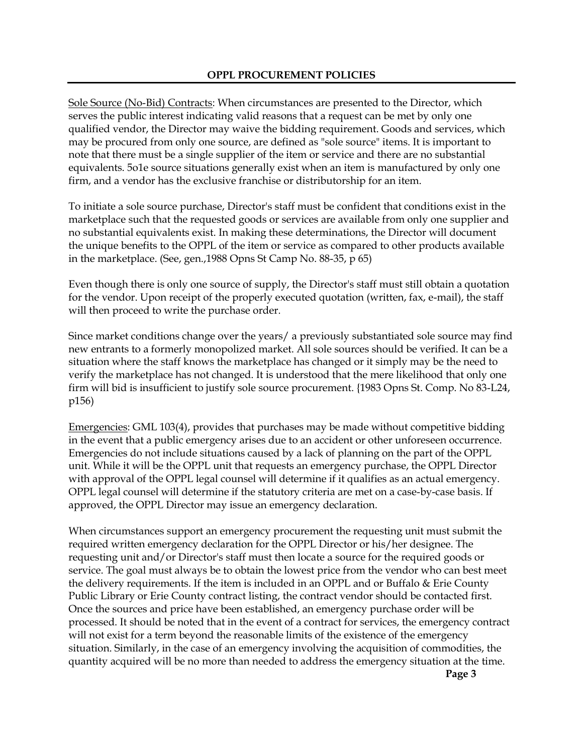Sole Source (No-Bid) Contracts: When circumstances are presented to the Director, which serves the public interest indicating valid reasons that a request can be met by only one qualified vendor, the Director may waive the bidding requirement. Goods and services, which may be procured from only one source, are defined as "sole source" items. It is important to note that there must be a single supplier of the item or service and there are no substantial equivalents. 5o1e source situations generally exist when an item is manufactured by only one firm, and a vendor has the exclusive franchise or distributorship for an item.

To initiate a sole source purchase, Director's staff must be confident that conditions exist in the marketplace such that the requested goods or services are available from only one supplier and no substantial equivalents exist. In making these determinations, the Director will document the unique benefits to the OPPL of the item or service as compared to other products available in the marketplace. (See, gen.,1988 Opns St Camp No. 88-35, p 65)

Even though there is only one source of supply, the Director's staff must still obtain a quotation for the vendor. Upon receipt of the properly executed quotation (written, fax, e-mail), the staff will then proceed to write the purchase order.

Since market conditions change over the years/ a previously substantiated sole source may find new entrants to a formerly monopolized market. All sole sources should be verified. It can be a situation where the staff knows the marketplace has changed or it simply may be the need to verify the marketplace has not changed. It is understood that the mere likelihood that only one firm will bid is insufficient to justify sole source procurement. {1983 Opns St. Comp. No 83-L24, p156)

Emergencies: GML 103(4), provides that purchases may be made without competitive bidding in the event that a public emergency arises due to an accident or other unforeseen occurrence. Emergencies do not include situations caused by a lack of planning on the part of the OPPL unit. While it will be the OPPL unit that requests an emergency purchase, the OPPL Director with approval of the OPPL legal counsel will determine if it qualifies as an actual emergency. OPPL legal counsel will determine if the statutory criteria are met on a case-by-case basis. If approved, the OPPL Director may issue an emergency declaration.

When circumstances support an emergency procurement the requesting unit must submit the required written emergency declaration for the OPPL Director or his/her designee. The requesting unit and/or Director's staff must then locate a source for the required goods or service. The goal must always be to obtain the lowest price from the vendor who can best meet the delivery requirements. If the item is included in an OPPL and or Buffalo & Erie County Public Library or Erie County contract listing, the contract vendor should be contacted first. Once the sources and price have been established, an emergency purchase order will be processed. It should be noted that in the event of a contract for services, the emergency contract will not exist for a term beyond the reasonable limits of the existence of the emergency situation. Similarly, in the case of an emergency involving the acquisition of commodities, the quantity acquired will be no more than needed to address the emergency situation at the time.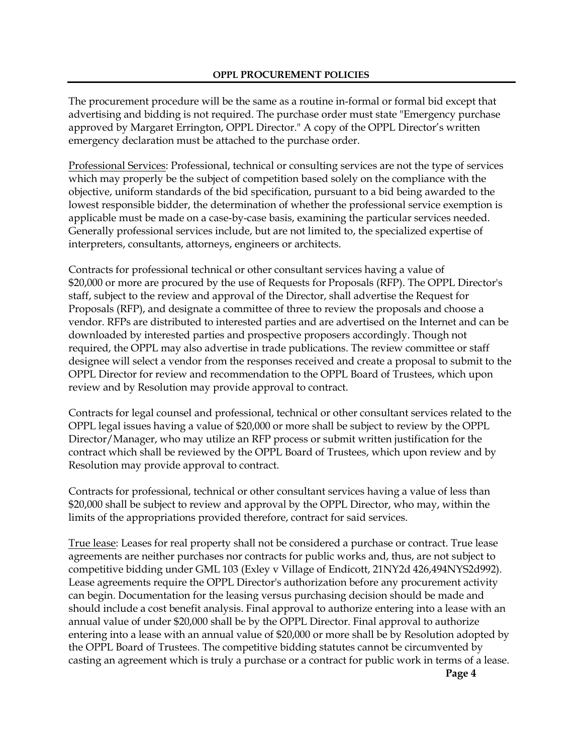The procurement procedure will be the same as a routine in-formal or formal bid except that advertising and bidding is not required. The purchase order must state "Emergency purchase approved by Margaret Errington, OPPL Director." A copy of the OPPL Director's written emergency declaration must be attached to the purchase order.

Professional Services: Professional, technical or consulting services are not the type of services which may properly be the subject of competition based solely on the compliance with the objective, uniform standards of the bid specification, pursuant to a bid being awarded to the lowest responsible bidder, the determination of whether the professional service exemption is applicable must be made on a case-by-case basis, examining the particular services needed. Generally professional services include, but are not limited to, the specialized expertise of interpreters, consultants, attorneys, engineers or architects.

Contracts for professional technical or other consultant services having a value of \$20,000 or more are procured by the use of Requests for Proposals (RFP). The OPPL Director's staff, subject to the review and approval of the Director, shall advertise the Request for Proposals (RFP), and designate a committee of three to review the proposals and choose a vendor. RFPs are distributed to interested parties and are advertised on the Internet and can be downloaded by interested parties and prospective proposers accordingly. Though not required, the OPPL may also advertise in trade publications. The review committee or staff designee will select a vendor from the responses received and create a proposal to submit to the OPPL Director for review and recommendation to the OPPL Board of Trustees, which upon review and by Resolution may provide approval to contract.

Contracts for legal counsel and professional, technical or other consultant services related to the OPPL legal issues having a value of \$20,000 or more shall be subject to review by the OPPL Director/Manager, who may utilize an RFP process or submit written justification for the contract which shall be reviewed by the OPPL Board of Trustees, which upon review and by Resolution may provide approval to contract.

Contracts for professional, technical or other consultant services having a value of less than \$20,000 shall be subject to review and approval by the OPPL Director, who may, within the limits of the appropriations provided therefore, contract for said services.

True lease: Leases for real property shall not be considered a purchase or contract. True lease agreements are neither purchases nor contracts for public works and, thus, are not subject to competitive bidding under GML 103 (Exley v Village of Endicott, 21NY2d 426,494NYS2d992). Lease agreements require the OPPL Director's authorization before any procurement activity can begin. Documentation for the leasing versus purchasing decision should be made and should include a cost benefit analysis. Final approval to authorize entering into a lease with an annual value of under \$20,000 shall be by the OPPL Director. Final approval to authorize entering into a lease with an annual value of \$20,000 or more shall be by Resolution adopted by the OPPL Board of Trustees. The competitive bidding statutes cannot be circumvented by casting an agreement which is truly a purchase or a contract for public work in terms of a lease. **Page 4**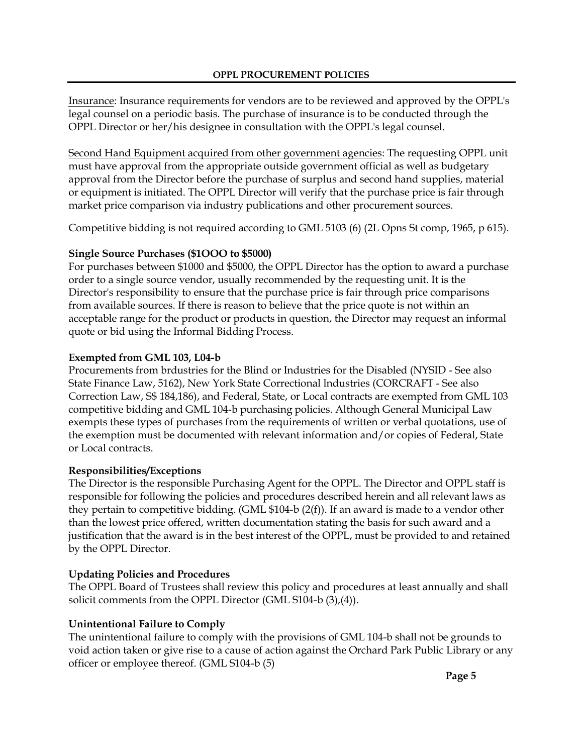Insurance: Insurance requirements for vendors are to be reviewed and approved by the OPPL's legal counsel on a periodic basis. The purchase of insurance is to be conducted through the OPPL Director or her/his designee in consultation with the OPPL's legal counsel.

Second Hand Equipment acquired from other government agencies: The requesting OPPL unit must have approval from the appropriate outside government official as well as budgetary approval from the Director before the purchase of surplus and second hand supplies, material or equipment is initiated. The OPPL Director will verify that the purchase price is fair through market price comparison via industry publications and other procurement sources.

Competitive bidding is not required according to GML 5103 (6) (2L Opns St comp, 1965, p 615).

## **Single Source Purchases (\$1OOO to \$5000)**

For purchases between \$1000 and \$5000, the OPPL Director has the option to award a purchase order to a single source vendor, usually recommended by the requesting unit. It is the Director's responsibility to ensure that the purchase price is fair through price comparisons from available sources. If there is reason to believe that the price quote is not within an acceptable range for the product or products in question, the Director may request an informal quote or bid using the Informal Bidding Process.

## **Exempted from GML 103, L04-b**

Procurements from brdustries for the Blind or Industries for the Disabled (NYSID - See also State Finance Law, 5162), New York State Correctional lndustries (CORCRAFT - See also Correction Law, S\$ 184,186), and Federal, State, or Local contracts are exempted from GML 103 competitive bidding and GML 104-b purchasing policies. Although General Municipal Law exempts these types of purchases from the requirements of written or verbal quotations, use of the exemption must be documented with relevant information and/or copies of Federal, State or Local contracts.

# **Responsibilities/Exceptions**

The Director is the responsible Purchasing Agent for the OPPL. The Director and OPPL staff is responsible for following the policies and procedures described herein and all relevant laws as they pertain to competitive bidding. (GML \$104-b (2(f)). If an award is made to a vendor other than the lowest price offered, written documentation stating the basis for such award and a justification that the award is in the best interest of the OPPL, must be provided to and retained by the OPPL Director.

# **Updating Policies and Procedures**

The OPPL Board of Trustees shall review this policy and procedures at least annually and shall solicit comments from the OPPL Director (GML S104-b (3),(4)).

# **Unintentional Failure to Comply**

The unintentional failure to comply with the provisions of GML 104-b shall not be grounds to void action taken or give rise to a cause of action against the Orchard Park Public Library or any officer or employee thereof. (GML S104-b (5)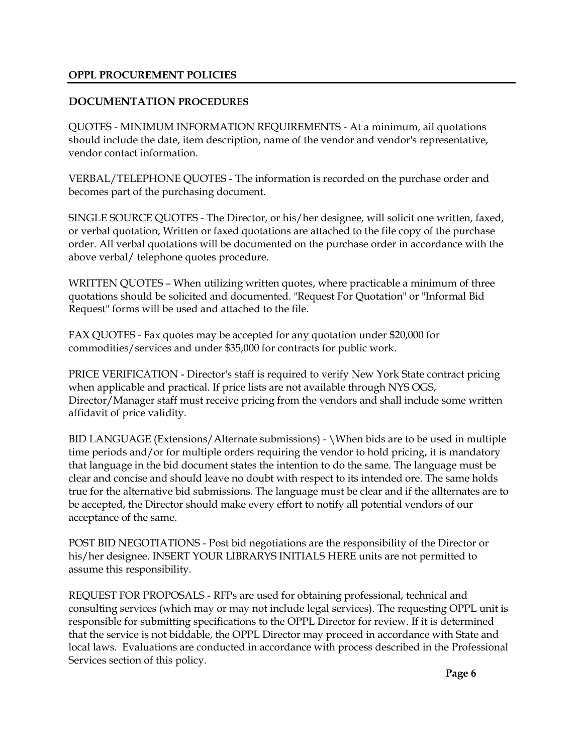### **OPPL PROCUREMENT POLICIES**

### **DOCUMENTATION PROCEDURES**

QUOTES - MINIMUM INFORMATION REQUIREMENTS - At a minimum, ail quotations should include the date, item description, name of the vendor and vendor's representative, vendor contact information.

VERBAL/TELEPHONE QUOTES - The information is recorded on the purchase order and becomes part of the purchasing document.

SINGLE SOURCE QUOTES - The Director, or his/her designee, will solicit one written, faxed, or verbal quotation, Written or faxed quotations are attached to the file copy of the purchase order. All verbal quotations will be documented on the purchase order in accordance with the above verbal/ telephone quotes procedure.

WRITTEN QUOTES – When utilizing written quotes, where practicable a minimum of three quotations should be solicited and documented. "Request For Quotation" or "Informal Bid Request" forms will be used and attached to the file.

FAX QUOTES - Fax quotes may be accepted for any quotation under \$20,000 for commodities/services and under \$35,000 for contracts for public work.

PRICE VERIFICATION - Director's staff is required to verify New York State contract pricing when applicable and practical. If price lists are not available through NYS OGS, Director/Manager staff must receive pricing from the vendors and shall include some written affidavit of price validity.

BID LANGUAGE (Extensions/Alternate submissions) - \When bids are to be used in multiple time periods and/or for multiple orders requiring the vendor to hold pricing, it is mandatory that language in the bid document states the intention to do the same. The language must be clear and concise and should leave no doubt with respect to its intended ore. The same holds true for the alternative bid submissions. The language must be clear and if the allternates are to be accepted, the Director should make every effort to notify all potential vendors of our acceptance of the same.

POST BID NEGOTIATIONS - Post bid negotiations are the responsibility of the Director or his/her designee. INSERT YOUR LIBRARYS INITIALS HERE units are not permitted to assume this responsibility.

REQUEST FOR PROPOSALS - RFPs are used for obtaining professional, technical and consulting services (which may or may not include legal services). The requesting OPPL unit is responsible for submitting specifications to the OPPL Director for review. If it is determined that the service is not biddable, the OPPL Director may proceed in accordance with State and local laws. Evaluations are conducted in accordance with process described in the Professional Services section of this policy.